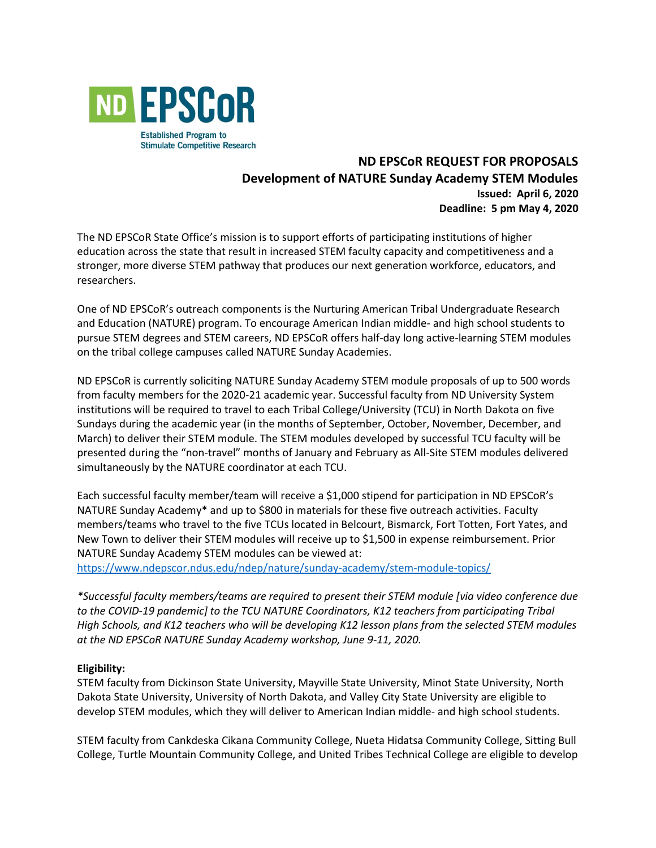

# **ND EPSCoR REQUEST FOR PROPOSALS Development of NATURE Sunday Academy STEM Modules Issued: April 6, 2020 Deadline: 5 pm May 4, 2020**

The ND EPSCoR State Office's mission is to support efforts of participating institutions of higher education across the state that result in increased STEM faculty capacity and competitiveness and a stronger, more diverse STEM pathway that produces our next generation workforce, educators, and researchers.

One of ND EPSCoR's outreach components is the Nurturing American Tribal Undergraduate Research and Education (NATURE) program. To encourage American Indian middle- and high school students to pursue STEM degrees and STEM careers, ND EPSCoR offers half-day long active-learning STEM modules on the tribal college campuses called NATURE Sunday Academies.

ND EPSCoR is currently soliciting NATURE Sunday Academy STEM module proposals of up to 500 words from faculty members for the 2020-21 academic year. Successful faculty from ND University System institutions will be required to travel to each Tribal College/University (TCU) in North Dakota on five Sundays during the academic year (in the months of September, October, November, December, and March) to deliver their STEM module. The STEM modules developed by successful TCU faculty will be presented during the "non-travel" months of January and February as All-Site STEM modules delivered simultaneously by the NATURE coordinator at each TCU.

Each successful faculty member/team will receive a \$1,000 stipend for participation in ND EPSCoR's NATURE Sunday Academy\* and up to \$800 in materials for these five outreach activities. Faculty members/teams who travel to the five TCUs located in Belcourt, Bismarck, Fort Totten, Fort Yates, and New Town to deliver their STEM modules will receive up to \$1,500 in expense reimbursement. Prior NATURE Sunday Academy STEM modules can be viewed at:

<https://www.ndepscor.ndus.edu/ndep/nature/sunday-academy/stem-module-topics/>

*\*Successful faculty members/teams are required to present their STEM module [via video conference due to the COVID-19 pandemic] to the TCU NATURE Coordinators, K12 teachers from participating Tribal High Schools, and K12 teachers who will be developing K12 lesson plans from the selected STEM modules at the ND EPSCoR NATURE Sunday Academy workshop, June 9-11, 2020.*

## **Eligibility:**

STEM faculty from Dickinson State University, Mayville State University, Minot State University, North Dakota State University, University of North Dakota, and Valley City State University are eligible to develop STEM modules, which they will deliver to American Indian middle- and high school students.

STEM faculty from Cankdeska Cikana Community College, Nueta Hidatsa Community College, Sitting Bull College, Turtle Mountain Community College, and United Tribes Technical College are eligible to develop